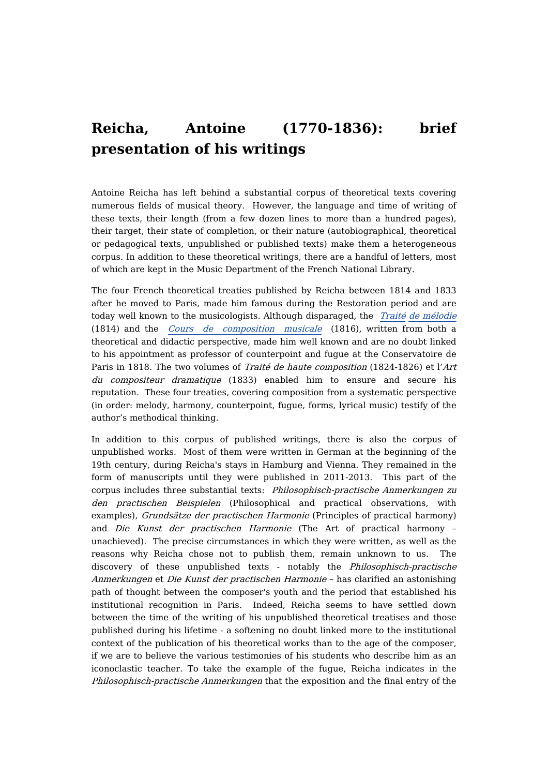## **Reicha, Antoine (1770-1836): brief presentation of his writings**

Antoine Reicha has left behind a substantial corpus of theoretical texts covering numerous fields of musical theory. However, the language and time of writing of these texts, their length (from a few dozen lines to more than a hundred pages), their target, their state of completion, or their nature (autobiographical, theoretical or pedagogical texts, unpublished or published texts) make them a heterogeneous corpus. In addition to these theoretical writings, there are a handful of letters, most of which are kept in the Music Department of the French National Library.

The four French theoretical treaties published by Reicha between 1814 and 1833 after he moved to Paris, made him famous during the Restoration period and are today well known to the musicologists. Although disparaged, the [Traité](https://dicteco.huma-num.fr/fr/book/2234) de [mélodie](https://dicteco.huma-num.fr/fr/book/2234) (1814) and the Cours de [composition](https://dicteco.huma-num.fr/fr/book/2327) musicale (1816), written from both a theoretical and didactic perspective, made him well known and are no doubt linked to his appointment as professor of counterpoint and fugue at the Conservatoire de Paris in 1818. The two volumes of Traité de haute composition (1824-1826) et l'Art du compositeur dramatique (1833) enabled him to ensure and secure his reputation. These four treaties, covering composition from a systematic perspective (in order: melody, harmony, counterpoint, fugue, forms, lyrical music) testify of the author's methodical thinking.

In addition to this corpus of published writings, there is also the corpus of unpublished works. Most of them were written in German at the beginning of the 19th century, during Reicha's stays in Hamburg and Vienna. They remained in the form of manuscripts until they were published in 2011-2013. This part of the corpus includes three substantial texts: Philosophisch-practische Anmerkungen zu den practischen Beispielen (Philosophical and practical observations, with examples), Grundsätze der practischen Harmonie (Principles of practical harmony) and Die Kunst der practischen Harmonie (The Art of practical harmony – unachieved). The precise circumstances in which they were written, as well as the reasons why Reicha chose not to publish them, remain unknown to us. The discovery of these unpublished texts - notably the Philosophisch-practische Anmerkungen et Die Kunst der practischen Harmonie – has clarified an astonishing path of thought between the composer's youth and the period that established his institutional recognition in Paris. Indeed, Reicha seems to have settled down between the time of the writing of his unpublished theoretical treatises and those published during his lifetime - a softening no doubt linked more to the institutional context of the publication of his theoretical works than to the age of the composer, if we are to believe the various testimonies of his students who describe him as an iconoclastic teacher. To take the example of the fugue, Reicha indicates in the Philosophisch-practische Anmerkungen that the exposition and the final entry of the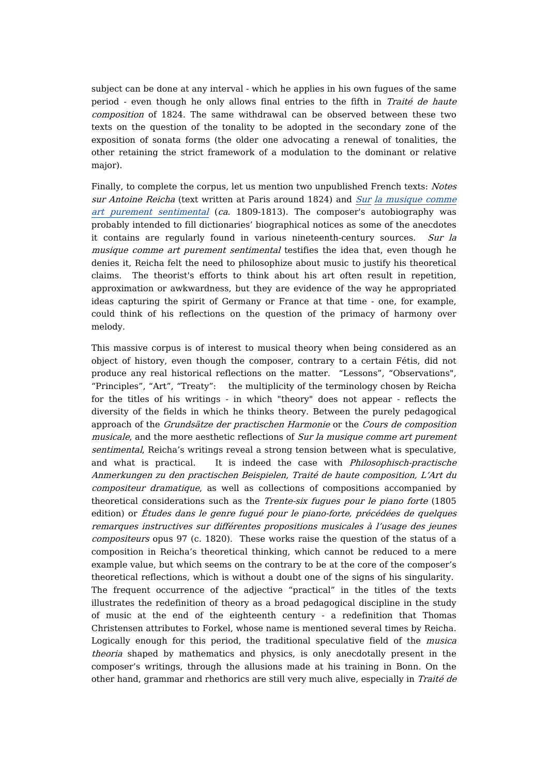subject can be done at any interval - which he applies in his own fugues of the same period - even though he only allows final entries to the fifth in Traité de haute composition of 1824. The same withdrawal can be observed between these two texts on the question of the tonality to be adopted in the secondary zone of the exposition of sonata forms (the older one advocating a renewal of tonalities, the other retaining the strict framework of a modulation to the dominant or relative major).

Finally, to complete the corpus, let us mention two unpublished French texts: Notes sur Antoine Reicha (text written at Paris around 1824) and [Sur](https://dicteco.huma-num.fr/fr/document/32771) la musique comme art purement sentimental (ca. 1809-1813). The composer's [autobiography](https://dicteco.huma-num.fr/fr/document/32771) was probably intended to fill dictionaries' biographical notices as some of the anecdotes it contains are regularly found in various nineteenth-century sources. Sur la musique comme art purement sentimental testifies the idea that, even though he denies it, Reicha felt the need to philosophize about music to justify his theoretical claims. The theorist's efforts to think about his art often result in repetition, approximation or awkwardness, but they are evidence of the way he appropriated ideas capturing the spirit of Germany or France at that time - one, for example, could think of his reflections on the question of the primacy of harmony over melody.

This massive corpus is of interest to musical theory when being considered as an object of history, even though the composer, contrary to a certain Fétis, did not produce any real historical reflections on the matter. "Lessons", "Observations", "Principles", "Art", "Treaty": the multiplicity of the terminology chosen by Reicha for the titles of his writings - in which "theory" does not appear - reflects the diversity of the fields in which he thinks theory. Between the purely pedagogical approach of the Grundsätze der practischen Harmonie or the Cours de composition musicale, and the more aesthetic reflections of Sur la musique comme art purement sentimental, Reicha's writings reveal a strong tension between what is speculative, and what is practical. It is indeed the case with Philosophisch-practische Anmerkungen zu den practischen Beispielen, Traité de haute composition, L'Art du compositeur dramatique, as well as collections of compositions accompanied by theoretical considerations such as the *Trente-six fugues pour le piano forte* (1805) edition) or Études dans le genre fugué pour le piano-forte, précédées de quelques remarques instructives sur différentes propositions musicales à l'usage des jeunes compositeurs opus 97 (c. 1820). These works raise the question of the status of a composition in Reicha's theoretical thinking, which cannot be reduced to a mere example value, but which seems on the contrary to be at the core of the composer's theoretical reflections, which is without a doubt one of the signs of his singularity. The frequent occurrence of the adjective "practical" in the titles of the texts illustrates the redefinition of theory as a broad pedagogical discipline in the study of music at the end of the eighteenth century - a redefinition that Thomas Christensen attributes to Forkel, whose name is mentioned several times by Reicha. Logically enough for this period, the traditional speculative field of the musica theoria shaped by mathematics and physics, is only anecdotally present in the composer's writings, through the allusions made at his training in Bonn. On the other hand, grammar and rhethorics are still very much alive, especially in Traité de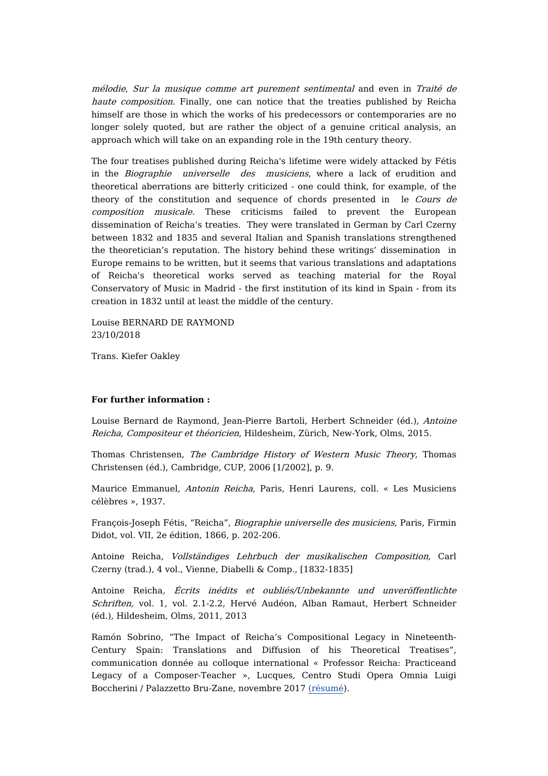mélodie, Sur la musique comme art purement sentimental and even in Traité de haute composition. Finally, one can notice that the treaties published by Reicha himself are those in which the works of his predecessors or contemporaries are no longer solely quoted, but are rather the object of a genuine critical analysis, an approach which will take on an expanding role in the 19th century theory.

The four treatises published during Reicha's lifetime were widely attacked by Fétis in the Biographie universelle des musiciens, where a lack of erudition and theoretical aberrations are bitterly criticized - one could think, for example, of the theory of the constitution and sequence of chords presented in le Cours de composition musicale. These criticisms failed to prevent the European dissemination of Reicha's treaties. They were translated in German by Carl Czerny between 1832 and 1835 and several Italian and Spanish translations strengthened the theoretician's reputation. The history behind these writings' dissemination in Europe remains to be written, but it seems that various translations and adaptations of Reicha's theoretical works served as teaching material for the Royal Conservatory of Music in Madrid - the first institution of its kind in Spain - from its creation in 1832 until at least the middle of the century.

Louise BERNARD DE RAYMOND 23/10/2018

Trans. Kiefer Oakley

## **For further information :**

Louise Bernard de Raymond, Jean-Pierre Bartoli, Herbert Schneider (éd.), Antoine Reicha, Compositeur et théoricien, Hildesheim, Zürich, New-York, Olms, 2015.

Thomas Christensen, The Cambridge History of Western Music Theory, Thomas Christensen (éd.), Cambridge, CUP, 2006 [1/2002], p. 9.

Maurice Emmanuel, Antonin Reicha, Paris, Henri Laurens, coll. « Les Musiciens célèbres », 1937.

François-Joseph Fétis, "Reicha", Biographie universelle des musiciens, Paris, Firmin Didot, vol. VII, 2e édition, 1866, p. 202-206.

Antoine Reicha, Vollständiges Lehrbuch der musikalischen Composition, Carl Czerny (trad.), 4 vol., Vienne, Diabelli & Comp., [1832-1835]

Antoine Reicha, Écrits inédits et oubliés/Unbekannte und unveröffentlichte Schriften, vol. 1, vol. 2.1-2.2, Hervé Audéon, Alban Ramaut, Herbert Schneider (éd.), Hildesheim, Olms, 2011, 2013

Ramón Sobrino, "The Impact of Reicha's Compositional Legacy in Nineteenth-Century Spain: Translations and Diffusion of his Theoretical Treatises", communication donnée au colloque international « Professor Reicha: Practiceand Legacy of a Composer-Teacher », Lucques, Centro Studi Opera Omnia Luigi Boccherini / Palazzetto Bru-Zane, novembre 2017 [\(résumé](http://www.luigiboccherini.org/images/Programme%20Reicha%20.pdf)).